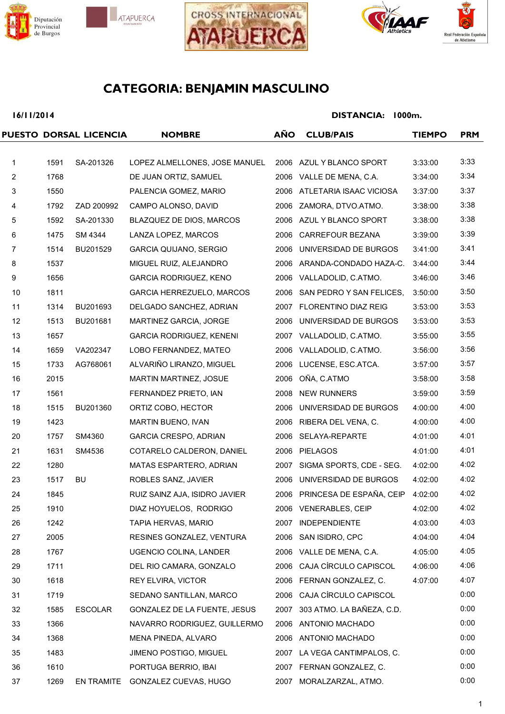







## **16/11/2014**

|                |      | PUESTO DORSAL LICENCIA | <b>NOMBRE</b>                    | <b>AÑO</b> | <b>CLUB/PAIS</b>               | <b>TIEMPO</b> | <b>PRM</b> |
|----------------|------|------------------------|----------------------------------|------------|--------------------------------|---------------|------------|
|                |      |                        |                                  |            |                                |               |            |
| $\mathbf{1}$   | 1591 | SA-201326              | LOPEZ ALMELLONES, JOSE MANUEL    |            | 2006 AZUL Y BLANCO SPORT       | 3:33:00       | 3:33       |
| $\overline{c}$ | 1768 |                        | DE JUAN ORTIZ, SAMUEL            |            | 2006 VALLE DE MENA, C.A.       | 3:34:00       | 3:34       |
| $\mathbf{3}$   | 1550 |                        | PALENCIA GOMEZ, MARIO            |            | 2006 ATLETARIA ISAAC VICIOSA   | 3:37:00       | 3:37       |
| 4              | 1792 | ZAD 200992             | CAMPO ALONSO, DAVID              |            | 2006 ZAMORA, DTVO.ATMO.        | 3:38:00       | 3:38       |
| 5              | 1592 | SA-201330              | BLAZQUEZ DE DIOS, MARCOS         |            | 2006 AZUL Y BLANCO SPORT       | 3:38:00       | 3:38       |
| 6              | 1475 | SM 4344                | LANZA LOPEZ, MARCOS              |            | 2006 CARREFOUR BEZANA          | 3:39:00       | 3:39       |
| $\overline{7}$ | 1514 | BU201529               | GARCIA QUIJANO, SERGIO           |            | 2006 UNIVERSIDAD DE BURGOS     | 3:41:00       | 3:41       |
| 8              | 1537 |                        | MIGUEL RUIZ, ALEJANDRO           |            | 2006 ARANDA-CONDADO HAZA-C.    | 3:44:00       | 3:44       |
| 9              | 1656 |                        | <b>GARCIA RODRIGUEZ, KENO</b>    |            | 2006 VALLADOLID, C.ATMO.       | 3:46:00       | 3:46       |
| 10             | 1811 |                        | GARCIA HERREZUELO, MARCOS        | 2006       | SAN PEDRO Y SAN FELICES,       | 3:50:00       | 3:50       |
| 11             | 1314 | BU201693               | DELGADO SANCHEZ, ADRIAN          |            | 2007 FLORENTINO DIAZ REIG      | 3:53:00       | 3:53       |
| 12             | 1513 | BU201681               | MARTINEZ GARCIA, JORGE           |            | 2006 UNIVERSIDAD DE BURGOS     | 3:53:00       | 3:53       |
| 13             | 1657 |                        | <b>GARCIA RODRIGUEZ, KENENI</b>  |            | 2007 VALLADOLID, C.ATMO.       | 3:55:00       | 3:55       |
| 14             | 1659 | VA202347               | LOBO FERNANDEZ, MATEO            |            | 2006 VALLADOLID, C.ATMO.       | 3:56:00       | 3:56       |
| 15             | 1733 | AG768061               | ALVARIÑO LIRANZO, MIGUEL         |            | 2006 LUCENSE, ESC.ATCA.        | 3:57:00       | 3:57       |
| 16             | 2015 |                        | MARTIN MARTINEZ, JOSUE           | 2006       | OÑA, C.ATMO                    | 3:58:00       | 3:58       |
| 17             | 1561 |                        | FERNANDEZ PRIETO, IAN            | 2008       | <b>NEW RUNNERS</b>             | 3:59:00       | 3:59       |
| 18             | 1515 | BU201360               | ORTIZ COBO, HECTOR               |            | 2006 UNIVERSIDAD DE BURGOS     | 4:00:00       | 4:00       |
| 19             | 1423 |                        | MARTIN BUENO, IVAN               |            | 2006 RIBERA DEL VENA, C.       | 4:00:00       | 4:00       |
| 20             | 1757 | SM4360                 | <b>GARCIA CRESPO, ADRIAN</b>     |            | 2006 SELAYA-REPARTE            | 4:01:00       | 4:01       |
| 21             | 1631 | SM4536                 | COTARELO CALDERON, DANIEL        |            | 2006 PIELAGOS                  | 4:01:00       | 4:01       |
| 22             | 1280 |                        | MATAS ESPARTERO, ADRIAN          | 2007       | SIGMA SPORTS, CDE - SEG.       | 4:02:00       | 4:02       |
| 23             | 1517 | BU                     | ROBLES SANZ, JAVIER              |            | 2006 UNIVERSIDAD DE BURGOS     | 4:02:00       | 4:02       |
| 24             | 1845 |                        | RUIZ SAINZ AJA, ISIDRO JAVIER    |            | 2006 PRINCESA DE ESPAÑA, CEIP  | 4:02:00       | 4:02       |
| 25             | 1910 |                        | DIAZ HOYUELOS, RODRIGO           |            | 2006 VENERABLES, CEIP          | 4:02:00       | 4:02       |
| 26             | 1242 |                        | TAPIA HERVAS, MARIO              |            | 2007 INDEPENDIENTE             | 4:03:00       | 4:03       |
| 27             | 2005 |                        | RESINES GONZALEZ, VENTURA        |            | 2006 SAN ISIDRO, CPC           | 4:04:00       | 4:04       |
| 28             | 1767 |                        | UGENCIO COLINA, LANDER           |            | 2006 VALLE DE MENA, C.A.       | 4:05:00       | 4:05       |
| 29             | 1711 |                        | DEL RIO CAMARA, GONZALO          |            | 2006 CAJA CÍRCULO CAPISCOL     | 4:06:00       | 4:06       |
| 30             | 1618 |                        | REY ELVIRA, VICTOR               |            | 2006 FERNAN GONZALEZ, C.       | 4:07:00       | 4:07       |
| 31             | 1719 |                        | SEDANO SANTILLAN, MARCO          |            | 2006 CAJA CÍRCULO CAPISCOL     |               | 0:00       |
| 32             | 1585 | <b>ESCOLAR</b>         | GONZALEZ DE LA FUENTE, JESUS     |            | 2007 303 ATMO. LA BAÑEZA, C.D. |               | 0:00       |
| 33             | 1366 |                        | NAVARRO RODRIGUEZ, GUILLERMO     |            | 2006 ANTONIO MACHADO           |               | 0:00       |
| 34             | 1368 |                        | MENA PINEDA, ALVARO              |            | 2006 ANTONIO MACHADO           |               | 0:00       |
| 35             | 1483 |                        | <b>JIMENO POSTIGO, MIGUEL</b>    |            | 2007 LA VEGA CANTIMPALOS, C.   |               | 0:00       |
| 36             | 1610 |                        | PORTUGA BERRIO, IBAI             |            | 2007 FERNAN GONZALEZ, C.       |               | 0:00       |
| 37             | 1269 |                        | EN TRAMITE GONZALEZ CUEVAS, HUGO |            | 2007 MORALZARZAL, ATMO.        |               | 0:00       |
|                |      |                        |                                  |            |                                |               |            |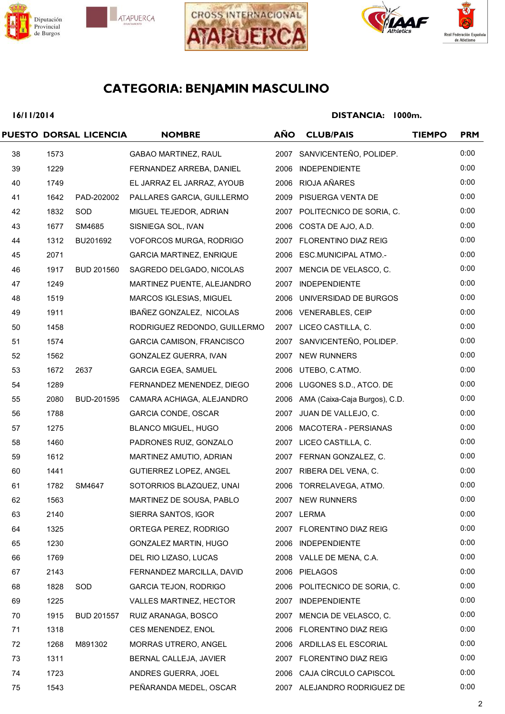







## **16/11/2014**

|    |      | PUESTO DORSAL LICENCIA | <b>NOMBRE</b>                   | <b>AÑO</b> | <b>CLUB/PAIS</b>                   | <b>TIEMPO</b> | <b>PRM</b> |
|----|------|------------------------|---------------------------------|------------|------------------------------------|---------------|------------|
| 38 | 1573 |                        | <b>GABAO MARTINEZ, RAUL</b>     |            | 2007 SANVICENTEÑO, POLIDEP.        |               | 0:00       |
| 39 | 1229 |                        | FERNANDEZ ARREBA, DANIEL        |            | 2006 INDEPENDIENTE                 |               | 0:00       |
| 40 | 1749 |                        | EL JARRAZ EL JARRAZ, AYOUB      |            | 2006 RIOJA AÑARES                  |               | 0:00       |
| 41 | 1642 | PAD-202002             | PALLARES GARCIA, GUILLERMO      |            | 2009 PISUERGA VENTA DE             |               | 0:00       |
| 42 | 1832 | SOD                    | MIGUEL TEJEDOR, ADRIAN          |            | 2007 POLITECNICO DE SORIA, C.      |               | 0:00       |
| 43 | 1677 | SM4685                 | SISNIEGA SOL, IVAN              |            | 2006 COSTA DE AJO, A.D.            |               | 0:00       |
| 44 | 1312 | BU201692               | VOFORCOS MURGA, RODRIGO         |            | 2007 FLORENTINO DIAZ REIG          |               | 0:00       |
| 45 | 2071 |                        | <b>GARCIA MARTINEZ, ENRIQUE</b> |            | 2006 ESC.MUNICIPAL ATMO.-          |               | 0:00       |
| 46 | 1917 | <b>BUD 201560</b>      | SAGREDO DELGADO, NICOLAS        |            | 2007 MENCIA DE VELASCO, C.         |               | 0:00       |
| 47 | 1249 |                        | MARTINEZ PUENTE, ALEJANDRO      |            | 2007 INDEPENDIENTE                 |               | 0:00       |
| 48 | 1519 |                        | MARCOS IGLESIAS, MIGUEL         |            | 2006 UNIVERSIDAD DE BURGOS         |               | 0:00       |
| 49 | 1911 |                        | IBAÑEZ GONZALEZ, NICOLAS        |            | 2006 VENERABLES, CEIP              |               | 0:00       |
| 50 | 1458 |                        | RODRIGUEZ REDONDO, GUILLERMO    |            | 2007 LICEO CASTILLA, C.            |               | 0:00       |
| 51 | 1574 |                        | GARCIA CAMISON, FRANCISCO       |            | 2007 SANVICENTEÑO, POLIDEP.        |               | 0:00       |
| 52 | 1562 |                        | GONZALEZ GUERRA, IVAN           |            | 2007 NEW RUNNERS                   |               | 0:00       |
| 53 | 1672 | 2637                   | <b>GARCIA EGEA, SAMUEL</b>      |            | 2006 UTEBO, C.ATMO.                |               | 0:00       |
| 54 | 1289 |                        | FERNANDEZ MENENDEZ, DIEGO       |            | 2006 LUGONES S.D., ATCO. DE        |               | 0:00       |
| 55 | 2080 | BUD-201595             | CAMARA ACHIAGA, ALEJANDRO       |            | 2006 AMA (Caixa-Caja Burgos), C.D. |               | 0:00       |
| 56 | 1788 |                        | GARCIA CONDE, OSCAR             |            | 2007 JUAN DE VALLEJO, C.           |               | 0:00       |
| 57 | 1275 |                        | <b>BLANCO MIGUEL, HUGO</b>      |            | 2006 MACOTERA - PERSIANAS          |               | 0:00       |
| 58 | 1460 |                        | PADRONES RUIZ, GONZALO          |            | 2007 LICEO CASTILLA, C.            |               | 0:00       |
| 59 | 1612 |                        | MARTINEZ AMUTIO, ADRIAN         |            | 2007 FERNAN GONZALEZ, C.           |               | 0:00       |
| 60 | 1441 |                        | GUTIERREZ LOPEZ, ANGEL          |            | 2007 RIBERA DEL VENA, C.           |               | 0:00       |
| 61 | 1782 | SM4647                 | SOTORRIOS BLAZQUEZ, UNAI        |            | 2006 TORRELAVEGA, ATMO.            |               | 0:00       |
| 62 | 1563 |                        | MARTINEZ DE SOUSA, PABLO        |            | 2007 NEW RUNNERS                   |               | 0:00       |
| 63 | 2140 |                        | SIERRA SANTOS, IGOR             |            | 2007 LERMA                         |               | 0:00       |
| 64 | 1325 |                        | ORTEGA PEREZ, RODRIGO           |            | 2007 FLORENTINO DIAZ REIG          |               | 0:00       |
| 65 | 1230 |                        | GONZALEZ MARTIN, HUGO           |            | 2006 INDEPENDIENTE                 |               | 0:00       |
| 66 | 1769 |                        | DEL RIO LIZASO, LUCAS           |            | 2008 VALLE DE MENA, C.A.           |               | 0:00       |
| 67 | 2143 |                        | FERNANDEZ MARCILLA, DAVID       |            | 2006 PIELAGOS                      |               | 0:00       |
| 68 | 1828 | <b>SOD</b>             | <b>GARCIA TEJON, RODRIGO</b>    |            | 2006 POLITECNICO DE SORIA, C.      |               | 0:00       |
| 69 | 1225 |                        | VALLES MARTINEZ, HECTOR         |            | 2007 INDEPENDIENTE                 |               | 0:00       |
| 70 | 1915 | <b>BUD 201557</b>      | RUIZ ARANAGA, BOSCO             |            | 2007 MENCIA DE VELASCO, C.         |               | 0:00       |
| 71 | 1318 |                        | CES MENENDEZ, ENOL              |            | 2006 FLORENTINO DIAZ REIG          |               | 0:00       |
| 72 | 1268 | M891302                | <b>MORRAS UTRERO, ANGEL</b>     |            | 2006 ARDILLAS EL ESCORIAL          |               | 0:00       |
| 73 | 1311 |                        | BERNAL CALLEJA, JAVIER          |            | 2007 FLORENTINO DIAZ REIG          |               | 0:00       |
| 74 | 1723 |                        | ANDRES GUERRA, JOEL             |            | 2006 CAJA CÍRCULO CAPISCOL         |               | 0:00       |
| 75 | 1543 |                        | PEÑARANDA MEDEL, OSCAR          |            | 2007 ALEJANDRO RODRIGUEZ DE        |               | 0:00       |
|    |      |                        |                                 |            |                                    |               |            |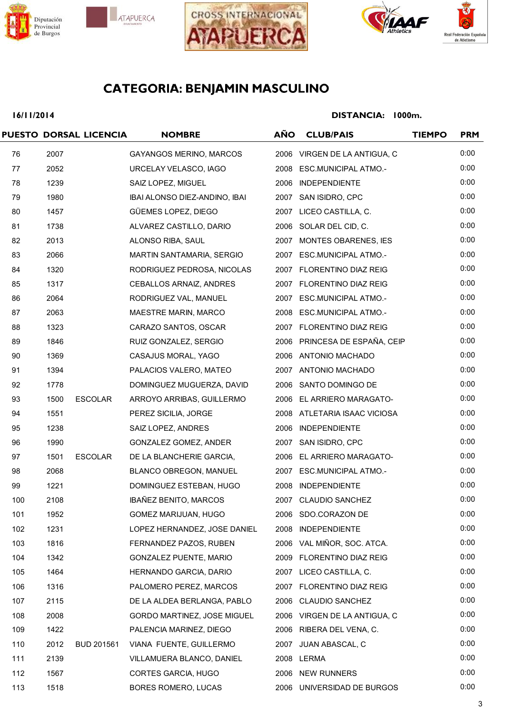







## **16/11/2014**

|     |      | PUESTO DORSAL LICENCIA | <b>NOMBRE</b>                  | <b>AÑO</b> | <b>CLUB/PAIS</b>              | <b>TIEMPO</b> | <b>PRM</b> |
|-----|------|------------------------|--------------------------------|------------|-------------------------------|---------------|------------|
| 76  | 2007 |                        | <b>GAYANGOS MERINO, MARCOS</b> |            | 2006 VIRGEN DE LA ANTIGUA, C  |               | 0:00       |
| 77  | 2052 |                        | URCELAY VELASCO, IAGO          |            | 2008 ESC.MUNICIPAL ATMO.-     |               | 0:00       |
| 78  | 1239 |                        | SAIZ LOPEZ, MIGUEL             |            | 2006 INDEPENDIENTE            |               | 0:00       |
| 79  | 1980 |                        | IBAI ALONSO DIEZ-ANDINO, IBAI  |            | 2007 SAN ISIDRO, CPC          |               | 0:00       |
| 80  | 1457 |                        | GÜEMES LOPEZ, DIEGO            |            | 2007 LICEO CASTILLA, C.       |               | 0:00       |
| 81  | 1738 |                        | ALVAREZ CASTILLO, DARIO        |            | 2006 SOLAR DEL CID, C.        |               | 0:00       |
| 82  | 2013 |                        | ALONSO RIBA, SAUL              |            | 2007 MONTES OBARENES, IES     |               | 0:00       |
| 83  | 2066 |                        | MARTIN SANTAMARIA, SERGIO      |            | 2007 ESC.MUNICIPAL ATMO.-     |               | 0:00       |
| 84  | 1320 |                        | RODRIGUEZ PEDROSA, NICOLAS     |            | 2007 FLORENTINO DIAZ REIG     |               | 0:00       |
| 85  | 1317 |                        | CEBALLOS ARNAIZ, ANDRES        |            | 2007 FLORENTINO DIAZ REIG     |               | 0:00       |
| 86  | 2064 |                        | RODRIGUEZ VAL, MANUEL          |            | 2007 ESC.MUNICIPAL ATMO.-     |               | 0:00       |
| 87  | 2063 |                        | <b>MAESTRE MARIN, MARCO</b>    |            | 2008 ESC.MUNICIPAL ATMO.-     |               | 0:00       |
| 88  | 1323 |                        | CARAZO SANTOS, OSCAR           |            | 2007 FLORENTINO DIAZ REIG     |               | 0:00       |
| 89  | 1846 |                        | RUIZ GONZALEZ, SERGIO          |            | 2006 PRINCESA DE ESPAÑA, CEIP |               | 0:00       |
| 90  | 1369 |                        | CASAJUS MORAL, YAGO            |            | 2006 ANTONIO MACHADO          |               | 0:00       |
| 91  | 1394 |                        | PALACIOS VALERO, MATEO         |            | 2007 ANTONIO MACHADO          |               | 0:00       |
| 92  | 1778 |                        | DOMINGUEZ MUGUERZA, DAVID      |            | 2006 SANTO DOMINGO DE         |               | 0:00       |
| 93  | 1500 | <b>ESCOLAR</b>         | ARROYO ARRIBAS, GUILLERMO      |            | 2006 EL ARRIERO MARAGATO-     |               | 0:00       |
| 94  | 1551 |                        | PEREZ SICILIA, JORGE           |            | 2008 ATLETARIA ISAAC VICIOSA  |               | 0:00       |
| 95  | 1238 |                        | SAIZ LOPEZ, ANDRES             |            | 2006 INDEPENDIENTE            |               | 0:00       |
| 96  | 1990 |                        | GONZALEZ GOMEZ, ANDER          |            | 2007 SAN ISIDRO, CPC          |               | 0:00       |
| 97  | 1501 | <b>ESCOLAR</b>         | DE LA BLANCHERIE GARCIA,       |            | 2006 EL ARRIERO MARAGATO-     |               | 0:00       |
| 98  | 2068 |                        | BLANCO OBREGON, MANUEL         |            | 2007 ESC.MUNICIPAL ATMO.-     |               | 0:00       |
| 99  | 1221 |                        | DOMINGUEZ ESTEBAN, HUGO        |            | 2008 INDEPENDIENTE            |               | 0:00       |
| 100 | 2108 |                        | IBAÑEZ BENITO, MARCOS          |            | 2007 CLAUDIO SANCHEZ          |               | 0:00       |
| 101 | 1952 |                        | GOMEZ MARIJUAN, HUGO           |            | 2006 SDO.CORAZON DE           |               | 0:00       |
| 102 | 1231 |                        | LOPEZ HERNANDEZ, JOSE DANIEL   |            | 2008 INDEPENDIENTE            |               | 0:00       |
| 103 | 1816 |                        | FERNANDEZ PAZOS, RUBEN         |            | 2006 VAL MIÑOR, SOC. ATCA.    |               | 0:00       |
| 104 | 1342 |                        | GONZALEZ PUENTE, MARIO         |            | 2009 FLORENTINO DIAZ REIG     |               | 0:00       |
| 105 | 1464 |                        | HERNANDO GARCIA, DARIO         |            | 2007 LICEO CASTILLA, C.       |               | 0:00       |
| 106 | 1316 |                        | PALOMERO PEREZ, MARCOS         |            | 2007 FLORENTINO DIAZ REIG     |               | 0:00       |
| 107 | 2115 |                        | DE LA ALDEA BERLANGA, PABLO    |            | 2006 CLAUDIO SANCHEZ          |               | 0:00       |
| 108 | 2008 |                        | GORDO MARTINEZ, JOSE MIGUEL    |            | 2006 VIRGEN DE LA ANTIGUA, C  |               | 0:00       |
| 109 | 1422 |                        | PALENCIA MARINEZ, DIEGO        |            | 2006 RIBERA DEL VENA, C.      |               | 0:00       |
| 110 | 2012 | BUD 201561             | VIANA FUENTE, GUILLERMO        |            | 2007 JUAN ABASCAL, C          |               | 0:00       |
| 111 | 2139 |                        | VILLAMUERA BLANCO, DANIEL      |            | 2008 LERMA                    |               | 0:00       |
| 112 | 1567 |                        | CORTES GARCIA, HUGO            |            | 2006 NEW RUNNERS              |               | 0:00       |
| 113 | 1518 |                        | BORES ROMERO, LUCAS            |            | 2006 UNIVERSIDAD DE BURGOS    |               | 0:00       |
|     |      |                        |                                |            |                               |               |            |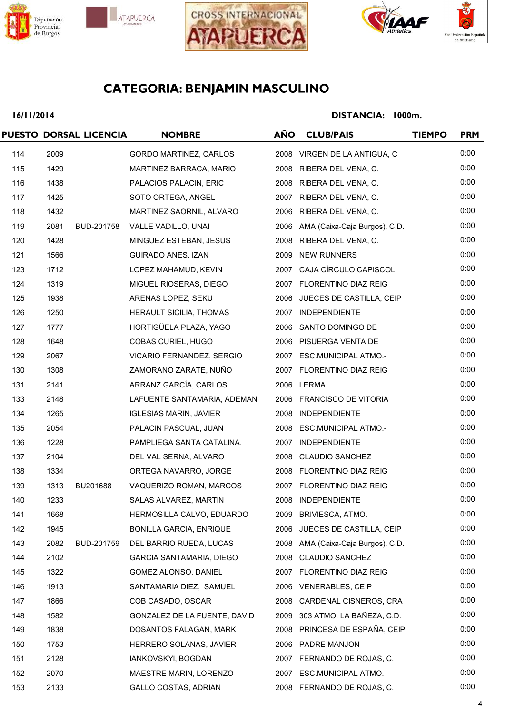







## **16/11/2014**

|     |      | PUESTO DORSAL LICENCIA | <b>NOMBRE</b>                   | <b>AÑO</b> | <b>CLUB/PAIS</b>                   | <b>TIEMPO</b> | <b>PRM</b> |
|-----|------|------------------------|---------------------------------|------------|------------------------------------|---------------|------------|
| 114 | 2009 |                        | GORDO MARTINEZ, CARLOS          |            | 2008 VIRGEN DE LA ANTIGUA, C       |               | 0:00       |
| 115 | 1429 |                        | MARTINEZ BARRACA, MARIO         |            | 2008 RIBERA DEL VENA, C.           |               | 0:00       |
| 116 | 1438 |                        | PALACIOS PALACIN, ERIC          |            | 2008 RIBERA DEL VENA, C.           |               | 0:00       |
| 117 | 1425 |                        | SOTO ORTEGA, ANGEL              |            | 2007 RIBERA DEL VENA, C.           |               | 0:00       |
| 118 | 1432 |                        | MARTINEZ SAORNIL, ALVARO        |            | 2006 RIBERA DEL VENA, C.           |               | 0:00       |
| 119 | 2081 | BUD-201758             | VALLE VADILLO, UNAI             |            | 2006 AMA (Caixa-Caja Burgos), C.D. |               | 0:00       |
| 120 | 1428 |                        | MINGUEZ ESTEBAN, JESUS          |            | 2008 RIBERA DEL VENA, C.           |               | 0:00       |
| 121 | 1566 |                        | GUIRADO ANES, IZAN              |            | 2009 NEW RUNNERS                   |               | 0:00       |
| 123 | 1712 |                        | LOPEZ MAHAMUD, KEVIN            |            | 2007 CAJA CÍRCULO CAPISCOL         |               | 0:00       |
| 124 | 1319 |                        | MIGUEL RIOSERAS, DIEGO          |            | 2007 FLORENTINO DIAZ REIG          |               | 0:00       |
| 125 | 1938 |                        | ARENAS LOPEZ, SEKU              |            | 2006 JUECES DE CASTILLA, CEIP      |               | 0:00       |
| 126 | 1250 |                        | HERAULT SICILIA, THOMAS         |            | 2007 INDEPENDIENTE                 |               | 0:00       |
| 127 | 1777 |                        | HORTIGÜELA PLAZA, YAGO          |            | 2006 SANTO DOMINGO DE              |               | 0:00       |
| 128 | 1648 |                        | COBAS CURIEL, HUGO              |            | 2006 PISUERGA VENTA DE             |               | 0:00       |
| 129 | 2067 |                        | VICARIO FERNANDEZ, SERGIO       |            | 2007 ESC.MUNICIPAL ATMO.-          |               | 0:00       |
| 130 | 1308 |                        | ZAMORANO ZARATE, NUÑO           |            | 2007 FLORENTINO DIAZ REIG          |               | 0:00       |
| 131 | 2141 |                        | ARRANZ GARCÍA, CARLOS           |            | 2006 LERMA                         |               | 0:00       |
| 133 | 2148 |                        | LAFUENTE SANTAMARIA, ADEMAN     |            | 2006 FRANCISCO DE VITORIA          |               | 0:00       |
| 134 | 1265 |                        | <b>IGLESIAS MARIN, JAVIER</b>   |            | 2008 INDEPENDIENTE                 |               | 0:00       |
| 135 | 2054 |                        | PALACIN PASCUAL, JUAN           |            | 2008 ESC.MUNICIPAL ATMO.-          |               | 0:00       |
| 136 | 1228 |                        | PAMPLIEGA SANTA CATALINA,       |            | 2007 INDEPENDIENTE                 |               | 0:00       |
| 137 | 2104 |                        | DEL VAL SERNA, ALVARO           |            | 2008 CLAUDIO SANCHEZ               |               | 0:00       |
| 138 | 1334 |                        | ORTEGA NAVARRO, JORGE           |            | 2008 FLORENTINO DIAZ REIG          |               | 0:00       |
| 139 | 1313 | BU201688               | VAQUERIZO ROMAN, MARCOS         |            | 2007 FLORENTINO DIAZ REIG          |               | 0:00       |
| 140 | 1233 |                        | SALAS ALVAREZ, MARTIN           |            | 2008 INDEPENDIENTE                 |               | 0:00       |
| 141 | 1668 |                        | HERMOSILLA CALVO, EDUARDO       |            | 2009 BRIVIESCA, ATMO.              |               | 0:00       |
| 142 | 1945 |                        | <b>BONILLA GARCIA, ENRIQUE</b>  |            | 2006 JUECES DE CASTILLA, CEIP      |               | 0:00       |
| 143 | 2082 | BUD-201759             | DEL BARRIO RUEDA, LUCAS         |            | 2008 AMA (Caixa-Caja Burgos), C.D. |               | 0:00       |
| 144 | 2102 |                        | <b>GARCIA SANTAMARIA, DIEGO</b> | 2008       | <b>CLAUDIO SANCHEZ</b>             |               | 0:00       |
| 145 | 1322 |                        | GOMEZ ALONSO, DANIEL            |            | 2007 FLORENTINO DIAZ REIG          |               | 0:00       |
| 146 | 1913 |                        | SANTAMARIA DIEZ, SAMUEL         |            | 2006 VENERABLES, CEIP              |               | 0:00       |
| 147 | 1866 |                        | COB CASADO, OSCAR               | 2008       | CARDENAL CISNEROS, CRA             |               | 0:00       |
| 148 | 1582 |                        | GONZALEZ DE LA FUENTE, DAVID    |            | 2009 303 ATMO. LA BAÑEZA, C.D.     |               | 0:00       |
| 149 | 1838 |                        | DOSANTOS FALAGAN, MARK          |            | 2008 PRINCESA DE ESPAÑA, CEIP      |               | 0:00       |
| 150 | 1753 |                        | HERRERO SOLANAS, JAVIER         |            | 2006 PADRE MANJON                  |               | 0:00       |
| 151 | 2128 |                        | IANKOVSKYI, BOGDAN              |            | 2007 FERNANDO DE ROJAS, C.         |               | 0:00       |
| 152 | 2070 |                        | MAESTRE MARIN, LORENZO          |            | 2007 ESC.MUNICIPAL ATMO.-          |               | 0:00       |
| 153 | 2133 |                        | <b>GALLO COSTAS, ADRIAN</b>     |            | 2008 FERNANDO DE ROJAS, C.         |               | 0:00       |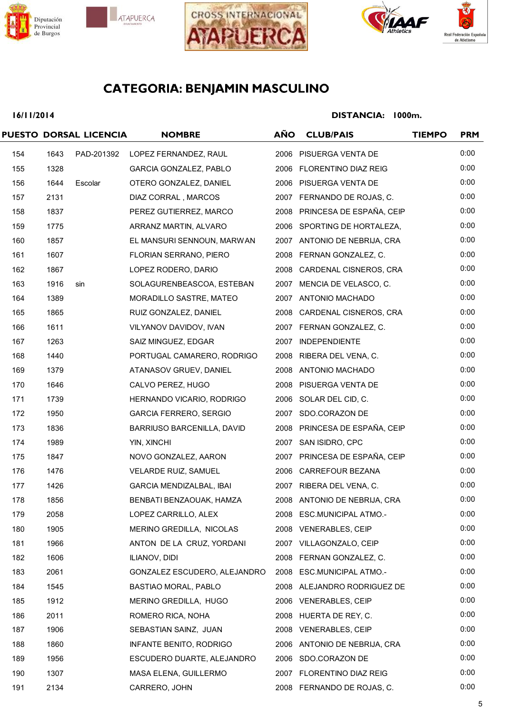







## **16/11/2014**

|     |      | PUESTO DORSAL LICENCIA | <b>NOMBRE</b>                   | <b>AÑO</b> | <b>CLUB/PAIS</b>              | <b>TIEMPO</b> | <b>PRM</b> |
|-----|------|------------------------|---------------------------------|------------|-------------------------------|---------------|------------|
| 154 | 1643 | PAD-201392             | LOPEZ FERNANDEZ, RAUL           |            | 2006 PISUERGA VENTA DE        |               | 0:00       |
| 155 | 1328 |                        | GARCIA GONZALEZ, PABLO          |            | 2006 FLORENTINO DIAZ REIG     |               | 0:00       |
| 156 | 1644 | Escolar                | OTERO GONZALEZ, DANIEL          |            | 2006 PISUERGA VENTA DE        |               | 0:00       |
| 157 | 2131 |                        | DIAZ CORRAL, MARCOS             |            | 2007 FERNANDO DE ROJAS, C.    |               | 0:00       |
| 158 | 1837 |                        | PEREZ GUTIERREZ, MARCO          |            | 2008 PRINCESA DE ESPAÑA, CEIP |               | 0:00       |
| 159 | 1775 |                        | ARRANZ MARTIN, ALVARO           |            | 2006 SPORTING DE HORTALEZA,   |               | 0:00       |
| 160 | 1857 |                        | EL MANSURI SENNOUN, MARWAN      |            | 2007 ANTONIO DE NEBRIJA, CRA  |               | 0:00       |
| 161 | 1607 |                        | FLORIAN SERRANO, PIERO          |            | 2008 FERNAN GONZALEZ, C.      |               | 0:00       |
| 162 | 1867 |                        | LOPEZ RODERO, DARIO             |            | 2008 CARDENAL CISNEROS, CRA   |               | 0:00       |
| 163 | 1916 | sin                    | SOLAGURENBEASCOA, ESTEBAN       |            | 2007 MENCIA DE VELASCO, C.    |               | 0:00       |
| 164 | 1389 |                        | MORADILLO SASTRE, MATEO         |            | 2007 ANTONIO MACHADO          |               | 0:00       |
| 165 | 1865 |                        | RUIZ GONZALEZ, DANIEL           |            | 2008 CARDENAL CISNEROS, CRA   |               | 0:00       |
| 166 | 1611 |                        | VILYANOV DAVIDOV, IVAN          |            | 2007 FERNAN GONZALEZ, C.      |               | 0:00       |
| 167 | 1263 |                        | SAIZ MINGUEZ, EDGAR             |            | 2007 INDEPENDIENTE            |               | 0:00       |
| 168 | 1440 |                        | PORTUGAL CAMARERO, RODRIGO      |            | 2008 RIBERA DEL VENA, C.      |               | 0:00       |
| 169 | 1379 |                        | ATANASOV GRUEV, DANIEL          |            | 2008 ANTONIO MACHADO          |               | 0:00       |
| 170 | 1646 |                        | CALVO PEREZ, HUGO               |            | 2008 PISUERGA VENTA DE        |               | 0:00       |
| 171 | 1739 |                        | HERNANDO VICARIO, RODRIGO       |            | 2006 SOLAR DEL CID, C.        |               | 0:00       |
| 172 | 1950 |                        | <b>GARCIA FERRERO, SERGIO</b>   |            | 2007 SDO.CORAZON DE           |               | 0:00       |
| 173 | 1836 |                        | BARRIUSO BARCENILLA, DAVID      |            | 2008 PRINCESA DE ESPAÑA, CEIP |               | 0:00       |
| 174 | 1989 |                        | YIN, XINCHI                     |            | 2007 SAN ISIDRO, CPC          |               | 0:00       |
| 175 | 1847 |                        | NOVO GONZALEZ, AARON            |            | 2007 PRINCESA DE ESPAÑA, CEIP |               | 0:00       |
| 176 | 1476 |                        | VELARDE RUIZ, SAMUEL            |            | 2006 CARREFOUR BEZANA         |               | 0:00       |
| 177 | 1426 |                        | <b>GARCIA MENDIZALBAL, IBAI</b> |            | 2007 RIBERA DEL VENA, C.      |               | 0:00       |
| 178 | 1856 |                        | BENBATI BENZAOUAK, HAMZA        |            | 2008 ANTONIO DE NEBRIJA, CRA  |               | 0:00       |
| 179 | 2058 |                        | LOPEZ CARRILLO, ALEX            |            | 2008 ESC.MUNICIPAL ATMO.-     |               | 0:00       |
| 180 | 1905 |                        | MERINO GREDILLA, NICOLAS        |            | 2008 VENERABLES, CEIP         |               | 0:00       |
| 181 | 1966 |                        | ANTON DE LA CRUZ, YORDANI       |            | 2007 VILLAGONZALO, CEIP       |               | 0:00       |
| 182 | 1606 |                        | ILIANOV, DIDI                   |            | 2008 FERNAN GONZALEZ, C.      |               | 0:00       |
| 183 | 2061 |                        | GONZALEZ ESCUDERO, ALEJANDRO    |            | 2008 ESC.MUNICIPAL ATMO.-     |               | 0:00       |
| 184 | 1545 |                        | BASTIAO MORAL, PABLO            |            | 2008 ALEJANDRO RODRIGUEZ DE   |               | 0:00       |
| 185 | 1912 |                        | MERINO GREDILLA, HUGO           |            | 2006 VENERABLES, CEIP         |               | 0:00       |
| 186 | 2011 |                        | ROMERO RICA, NOHA               |            | 2008 HUERTA DE REY, C.        |               | 0:00       |
| 187 | 1906 |                        | SEBASTIAN SAINZ, JUAN           |            | 2008 VENERABLES, CEIP         |               | 0:00       |
| 188 | 1860 |                        | INFANTE BENITO, RODRIGO         |            | 2006 ANTONIO DE NEBRIJA, CRA  |               | 0:00       |
| 189 | 1956 |                        | ESCUDERO DUARTE, ALEJANDRO      |            | 2006 SDO.CORAZON DE           |               | 0:00       |
| 190 | 1307 |                        | MASA ELENA, GUILLERMO           |            | 2007 FLORENTINO DIAZ REIG     |               | 0:00       |
| 191 | 2134 |                        | CARRERO, JOHN                   |            | 2008 FERNANDO DE ROJAS, C.    |               | 0:00       |
|     |      |                        |                                 |            |                               |               |            |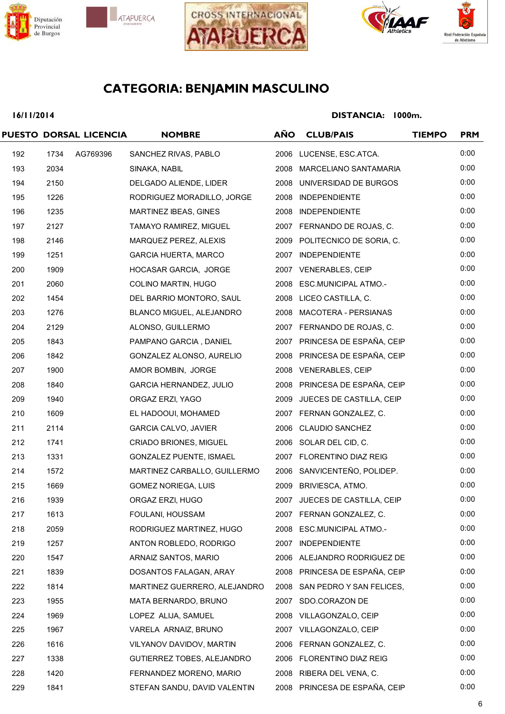







## **16/11/2014**

|     |      | PUESTO DORSAL LICENCIA | <b>NOMBRE</b>                  | <b>AÑO</b> | <b>CLUB/PAIS</b>              | <b>TIEMPO</b> | <b>PRM</b> |
|-----|------|------------------------|--------------------------------|------------|-------------------------------|---------------|------------|
| 192 | 1734 | AG769396               | SANCHEZ RIVAS, PABLO           |            | 2006 LUCENSE, ESC.ATCA.       |               | 0:00       |
| 193 | 2034 |                        | SINAKA, NABIL                  |            | 2008 MARCELIANO SANTAMARIA    |               | 0:00       |
| 194 | 2150 |                        | DELGADO ALIENDE, LIDER         |            | 2008 UNIVERSIDAD DE BURGOS    |               | 0:00       |
| 195 | 1226 |                        | RODRIGUEZ MORADILLO, JORGE     |            | 2008 INDEPENDIENTE            |               | 0:00       |
| 196 | 1235 |                        | MARTINEZ IBEAS, GINES          |            | 2008 INDEPENDIENTE            |               | 0:00       |
| 197 | 2127 |                        | TAMAYO RAMIREZ, MIGUEL         |            | 2007 FERNANDO DE ROJAS, C.    |               | 0:00       |
| 198 | 2146 |                        | MARQUEZ PEREZ, ALEXIS          |            | 2009 POLITECNICO DE SORIA, C. |               | 0:00       |
| 199 | 1251 |                        | <b>GARCIA HUERTA, MARCO</b>    |            | 2007 INDEPENDIENTE            |               | 0:00       |
| 200 | 1909 |                        | HOCASAR GARCIA, JORGE          |            | 2007 VENERABLES, CEIP         |               | 0:00       |
| 201 | 2060 |                        | COLINO MARTIN, HUGO            |            | 2008 ESC.MUNICIPAL ATMO.-     |               | 0:00       |
| 202 | 1454 |                        | DEL BARRIO MONTORO, SAUL       |            | 2008 LICEO CASTILLA, C.       |               | 0:00       |
| 203 | 1276 |                        | BLANCO MIGUEL, ALEJANDRO       |            | 2008 MACOTERA - PERSIANAS     |               | 0:00       |
| 204 | 2129 |                        | ALONSO, GUILLERMO              |            | 2007 FERNANDO DE ROJAS, C.    |               | 0:00       |
| 205 | 1843 |                        | PAMPANO GARCIA, DANIEL         |            | 2007 PRINCESA DE ESPAÑA, CEIP |               | 0:00       |
| 206 | 1842 |                        | GONZALEZ ALONSO, AURELIO       |            | 2008 PRINCESA DE ESPAÑA, CEIP |               | 0:00       |
| 207 | 1900 |                        | AMOR BOMBIN, JORGE             |            | 2008 VENERABLES, CEIP         |               | 0:00       |
| 208 | 1840 |                        | <b>GARCIA HERNANDEZ, JULIO</b> |            | 2008 PRINCESA DE ESPAÑA, CEIP |               | 0:00       |
| 209 | 1940 |                        | ORGAZ ERZI, YAGO               |            | 2009 JUECES DE CASTILLA, CEIP |               | 0:00       |
| 210 | 1609 |                        | EL HADOOUI, MOHAMED            |            | 2007 FERNAN GONZALEZ, C.      |               | 0:00       |
| 211 | 2114 |                        | <b>GARCIA CALVO, JAVIER</b>    |            | 2006 CLAUDIO SANCHEZ          |               | 0:00       |
| 212 | 1741 |                        | CRIADO BRIONES, MIGUEL         |            | 2006 SOLAR DEL CID, C.        |               | 0:00       |
| 213 | 1331 |                        | <b>GONZALEZ PUENTE, ISMAEL</b> |            | 2007 FLORENTINO DIAZ REIG     |               | 0:00       |
| 214 | 1572 |                        | MARTINEZ CARBALLO, GUILLERMO   |            | 2006 SANVICENTEÑO, POLIDEP.   |               | 0:00       |
| 215 | 1669 |                        | <b>GOMEZ NORIEGA, LUIS</b>     |            | 2009 BRIVIESCA, ATMO.         |               | 0:00       |
| 216 | 1939 |                        | ORGAZ ERZI, HUGO               |            | 2007 JUECES DE CASTILLA, CEIP |               | 0:00       |
| 217 | 1613 |                        | FOULANI, HOUSSAM               |            | 2007 FERNAN GONZALEZ, C.      |               | 0:00       |
| 218 | 2059 |                        | RODRIGUEZ MARTINEZ, HUGO       |            | 2008 ESC.MUNICIPAL ATMO.-     |               | 0:00       |
| 219 | 1257 |                        | ANTON ROBLEDO, RODRIGO         |            | 2007 INDEPENDIENTE            |               | 0:00       |
| 220 | 1547 |                        | ARNAIZ SANTOS, MARIO           |            | 2006 ALEJANDRO RODRIGUEZ DE   |               | 0:00       |
| 221 | 1839 |                        | DOSANTOS FALAGAN, ARAY         |            | 2008 PRINCESA DE ESPAÑA, CEIP |               | 0:00       |
| 222 | 1814 |                        | MARTINEZ GUERRERO, ALEJANDRO   |            | 2008 SAN PEDRO Y SAN FELICES, |               | 0:00       |
| 223 | 1955 |                        | MATA BERNARDO, BRUNO           |            | 2007 SDO.CORAZON DE           |               | 0:00       |
| 224 | 1969 |                        | LOPEZ ALIJA, SAMUEL            |            | 2008 VILLAGONZALO, CEIP       |               | 0:00       |
| 225 | 1967 |                        | VARELA ARNAIZ, BRUNO           |            | 2007 VILLAGONZALO, CEIP       |               | 0:00       |
| 226 | 1616 |                        | VILYANOV DAVIDOV, MARTIN       |            | 2006 FERNAN GONZALEZ, C.      |               | 0:00       |
| 227 | 1338 |                        | GUTIERREZ TOBES, ALEJANDRO     |            | 2006 FLORENTINO DIAZ REIG     |               | 0:00       |
| 228 | 1420 |                        | FERNANDEZ MORENO, MARIO        |            | 2008 RIBERA DEL VENA, C.      |               | 0:00       |
| 229 | 1841 |                        | STEFAN SANDU, DAVID VALENTIN   |            | 2008 PRINCESA DE ESPAÑA, CEIP |               | 0:00       |
|     |      |                        |                                |            |                               |               |            |